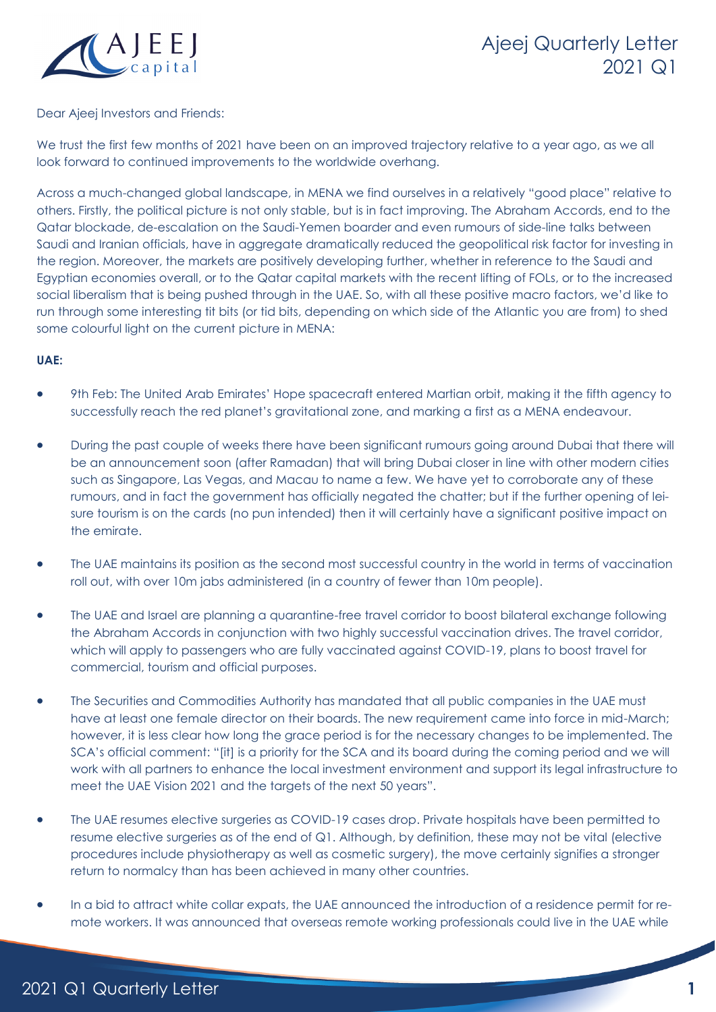

# Ajeej Quarterly Letter 2021 Q1

#### Dear Ajeej Investors and Friends:

We trust the first few months of 2021 have been on an improved trajectory relative to a year ago, as we all look forward to continued improvements to the worldwide overhang.

Across a much-changed global landscape, in MENA we find ourselves in a relatively "good place" relative to others. Firstly, the political picture is not only stable, but is in fact improving. The Abraham Accords, end to the Qatar blockade, de-escalation on the Saudi-Yemen boarder and even rumours of side-line talks between Saudi and Iranian officials, have in aggregate dramatically reduced the geopolitical risk factor for investing in the region. Moreover, the markets are positively developing further, whether in reference to the Saudi and Egyptian economies overall, or to the Qatar capital markets with the recent lifting of FOLs, or to the increased social liberalism that is being pushed through in the UAE. So, with all these positive macro factors, we'd like to run through some interesting tit bits (or tid bits, depending on which side of the Atlantic you are from) to shed some colourful light on the current picture in MENA:

#### **UAE:**

- 9th Feb: The United Arab Emirates' Hope spacecraft entered Martian orbit, making it the fifth agency to successfully reach the red planet's gravitational zone, and marking a first as a MENA endeavour.
- During the past couple of weeks there have been significant rumours going around Dubai that there will be an announcement soon (after Ramadan) that will bring Dubai closer in line with other modern cities such as Singapore, Las Vegas, and Macau to name a few. We have yet to corroborate any of these rumours, and in fact the government has officially negated the chatter; but if the further opening of leisure tourism is on the cards (no pun intended) then it will certainly have a significant positive impact on the emirate.
- The UAE maintains its position as the second most successful country in the world in terms of vaccination roll out, with over 10m jabs administered (in a country of fewer than 10m people).
- The UAE and Israel are planning a quarantine-free travel corridor to boost bilateral exchange following the Abraham Accords in conjunction with two highly successful vaccination drives. The travel corridor, which will apply to passengers who are fully vaccinated against COVID-19, plans to boost travel for commercial, tourism and official purposes.
- The Securities and Commodities Authority has mandated that all public companies in the UAE must have at least one female director on their boards. The new requirement came into force in mid-March; however, it is less clear how long the grace period is for the necessary changes to be implemented. The SCA's official comment: "[it] is a priority for the SCA and its board during the coming period and we will work with all partners to enhance the local investment environment and support its legal infrastructure to meet the UAE Vision 2021 and the targets of the next 50 years".
- The UAE resumes elective surgeries as COVID-19 cases drop. Private hospitals have been permitted to resume elective surgeries as of the end of Q1. Although, by definition, these may not be vital (elective procedures include physiotherapy as well as cosmetic surgery), the move certainly signifies a stronger return to normalcy than has been achieved in many other countries.
- In a bid to attract white collar expats, the UAE announced the introduction of a residence permit for remote workers. It was announced that overseas remote working professionals could live in the UAE while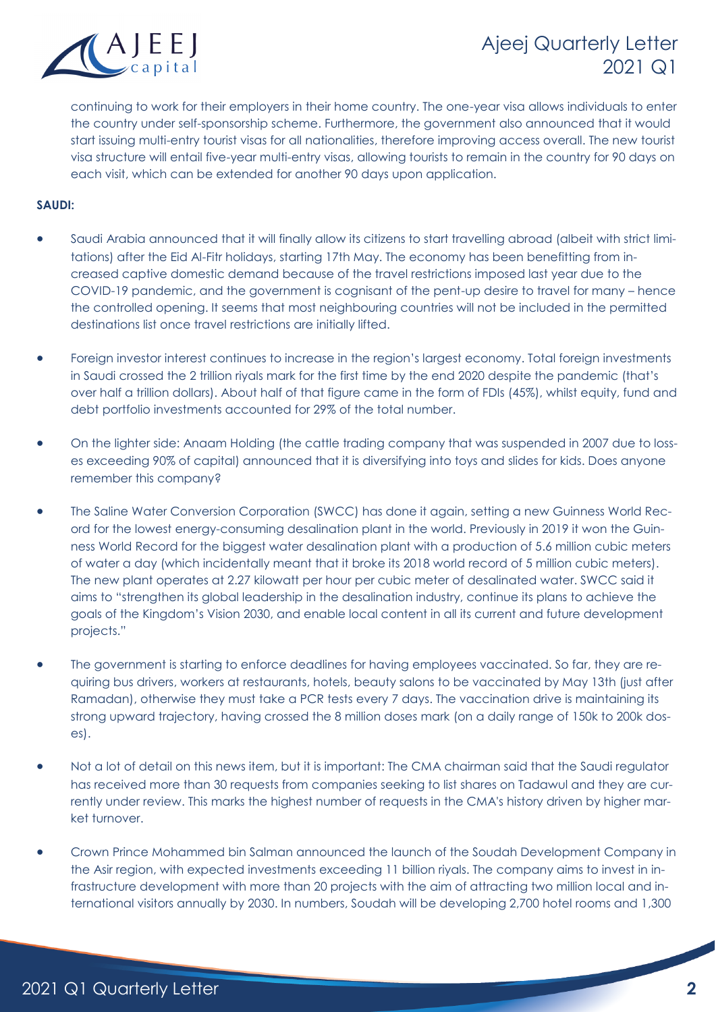

## Ajeej Quarterly Letter 2021 Q1

continuing to work for their employers in their home country. The one-year visa allows individuals to enter the country under self-sponsorship scheme. Furthermore, the government also announced that it would start issuing multi-entry tourist visas for all nationalities, therefore improving access overall. The new tourist visa structure will entail five-year multi-entry visas, allowing tourists to remain in the country for 90 days on each visit, which can be extended for another 90 days upon application.

## **SAUDI:**

- Saudi Arabia announced that it will finally allow its citizens to start travelling abroad (albeit with strict limitations) after the Eid Al-Fitr holidays, starting 17th May. The economy has been benefitting from increased captive domestic demand because of the travel restrictions imposed last year due to the COVID-19 pandemic, and the government is cognisant of the pent-up desire to travel for many – hence the controlled opening. It seems that most neighbouring countries will not be included in the permitted destinations list once travel restrictions are initially lifted.
- Foreign investor interest continues to increase in the region's largest economy. Total foreign investments in Saudi crossed the 2 trillion riyals mark for the first time by the end 2020 despite the pandemic (that's over half a trillion dollars). About half of that figure came in the form of FDIs (45%), whilst equity, fund and debt portfolio investments accounted for 29% of the total number.
- On the lighter side: Anaam Holding (the cattle trading company that was suspended in 2007 due to losses exceeding 90% of capital) announced that it is diversifying into toys and slides for kids. Does anyone remember this company?
- The Saline Water Conversion Corporation (SWCC) has done it again, setting a new Guinness World Record for the lowest energy-consuming desalination plant in the world. Previously in 2019 it won the Guinness World Record for the biggest water desalination plant with a production of 5.6 million cubic meters of water a day (which incidentally meant that it broke its 2018 world record of 5 million cubic meters). The new plant operates at 2.27 kilowatt per hour per cubic meter of desalinated water. SWCC said it aims to "strengthen its global leadership in the desalination industry, continue its plans to achieve the goals of the Kingdom's Vision 2030, and enable local content in all its current and future development projects."
- The government is starting to enforce deadlines for having employees vaccinated. So far, they are requiring bus drivers, workers at restaurants, hotels, beauty salons to be vaccinated by May 13th (just after Ramadan), otherwise they must take a PCR tests every 7 days. The vaccination drive is maintaining its strong upward trajectory, having crossed the 8 million doses mark (on a daily range of 150k to 200k doses).
- Not a lot of detail on this news item, but it is important: The CMA chairman said that the Saudi regulator has received more than 30 requests from companies seeking to list shares on Tadawul and they are currently under review. This marks the highest number of requests in the CMA's history driven by higher market turnover.
- Crown Prince Mohammed bin Salman announced the launch of the Soudah Development Company in the Asir region, with expected investments exceeding 11 billion riyals. The company aims to invest in infrastructure development with more than 20 projects with the aim of attracting two million local and international visitors annually by 2030. In numbers, Soudah will be developing 2,700 hotel rooms and 1,300